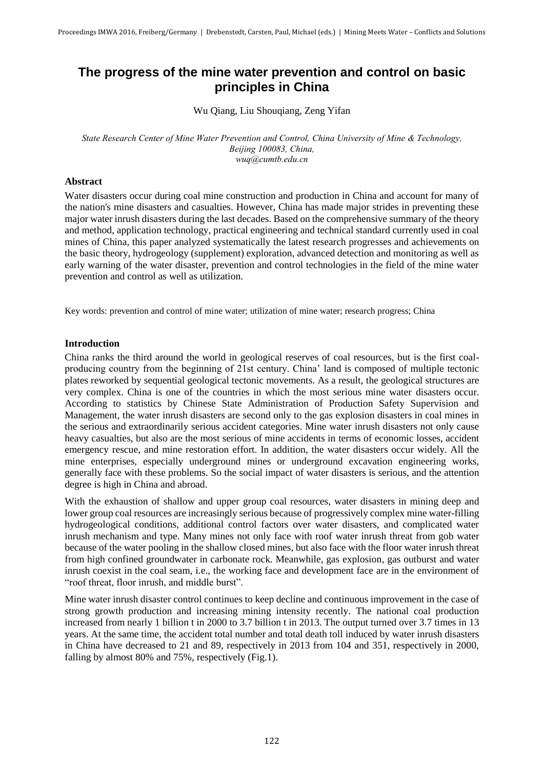# **The progress of the mine water prevention and control on basic principles in China**

Wu Qiang, Liu Shouqiang, Zeng Yifan

*State Research Center of Mine Water Prevention and Control, China University of Mine & Technology, Beijing 100083, China, wuq@cumtb.edu.cn*

## **Abstract**

Water disasters occur during coal mine construction and production in China and account for many of the nation's mine disasters and casualties. However, China has made major strides in preventing these major water inrush disasters during the last decades. Based on the comprehensive summary of the theory and method, application technology, practical engineering and technical standard currently used in coal mines of China, this paper analyzed systematically the latest research progresses and achievements on the basic theory, hydrogeology (supplement) exploration, advanced detection and monitoring as well as early warning of the water disaster, prevention and control technologies in the field of the mine water prevention and control as well as utilization.

Key words: prevention and control of mine water; utilization of mine water; research progress; China

## **Introduction**

China ranks the third around the world in geological reserves of coal resources, but is the first coalproducing country from the beginning of 21st century. China' land is composed of multiple tectonic plates reworked by sequential geological tectonic movements. As a result, the geological structures are very complex. China is one of the countries in which the most serious mine water disasters occur. According to statistics by Chinese State Administration of Production Safety Supervision and Management, the water inrush disasters are second only to the gas explosion disasters in coal mines in the serious and extraordinarily serious accident categories. Mine water inrush disasters not only cause heavy casualties, but also are the most serious of mine accidents in terms of economic losses, accident emergency rescue, and mine restoration effort. In addition, the water disasters occur widely. All the mine enterprises, especially underground mines or underground excavation engineering works, generally face with these problems. So the social impact of water disasters is serious, and the attention degree is high in China and abroad.

With the exhaustion of shallow and upper group coal resources, water disasters in mining deep and lower group coal resources are increasingly serious because of progressively complex mine water-filling hydrogeological conditions, additional control factors over water disasters, and complicated water inrush mechanism and type. Many mines not only face with roof water inrush threat from gob water because of the water pooling in the shallow closed mines, but also face with the floor water inrush threat from high confined groundwater in carbonate rock. Meanwhile, gas explosion, gas outburst and water inrush coexist in the coal seam, i.e., the working face and development face are in the environment of "roof threat, floor inrush, and middle burst".

Mine water inrush disaster control continues to keep decline and continuous improvement in the case of strong growth production and increasing mining intensity recently. The national coal production increased from nearly 1 billion t in 2000 to 3.7 billion t in 2013. The output turned over 3.7 times in 13 years. At the same time, the accident total number and total death toll induced by water inrush disasters in China have decreased to 21 and 89, respectively in 2013 from 104 and 351, respectively in 2000, falling by almost 80% and 75%, respectively (Fig.1).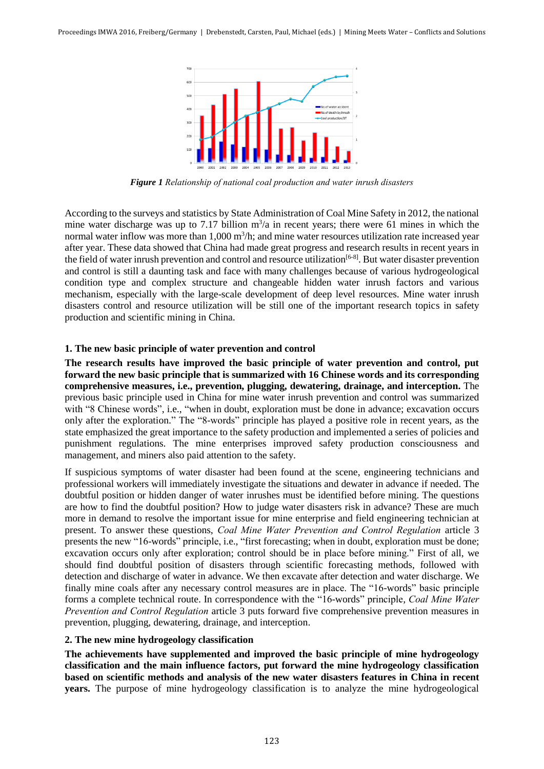

*Figure 1 Relationship of national coal production and water inrush disasters*

According to the surveys and statistics by State Administration of Coal Mine Safety in 2012, the national mine water discharge was up to 7.17 billion  $m^3/a$  in recent years; there were 61 mines in which the normal water inflow was more than 1,000 m<sup>3</sup>/h; and mine water resources utilization rate increased year after year. These data showed that China had made great progress and research results in recent years in the field of water inrush prevention and control and resource utilization<sup>[6-8]</sup>. But water disaster prevention and control is still a daunting task and face with many challenges because of various hydrogeological condition type and complex structure and changeable hidden water inrush factors and various mechanism, especially with the large-scale development of deep level resources. Mine water inrush disasters control and resource utilization will be still one of the important research topics in safety production and scientific mining in China.

# **1. The new basic principle of water prevention and control**

**The research results have improved the basic principle of water prevention and control, put forward the new basic principle that is summarized with 16 Chinese words and its corresponding comprehensive measures, i.e., prevention, plugging, dewatering, drainage, and interception.** The previous basic principle used in China for mine water inrush prevention and control was summarized with "8 Chinese words", i.e., "when in doubt, exploration must be done in advance; excavation occurs only after the exploration." The "8-words" principle has played a positive role in recent years, as the state emphasized the great importance to the safety production and implemented a series of policies and punishment regulations. The mine enterprises improved safety production consciousness and management, and miners also paid attention to the safety.

If suspicious symptoms of water disaster had been found at the scene, engineering technicians and professional workers will immediately investigate the situations and dewater in advance if needed. The doubtful position or hidden danger of water inrushes must be identified before mining. The questions are how to find the doubtful position? How to judge water disasters risk in advance? These are much more in demand to resolve the important issue for mine enterprise and field engineering technician at present. To answer these questions, *Coal Mine Water Prevention and Control Regulation* article 3 presents the new "16-words" principle, i.e., "first forecasting; when in doubt, exploration must be done; excavation occurs only after exploration; control should be in place before mining." First of all, we should find doubtful position of disasters through scientific forecasting methods, followed with detection and discharge of water in advance. We then excavate after detection and water discharge. We finally mine coals after any necessary control measures are in place. The "16-words" basic principle forms a complete technical route. In correspondence with the "16-words" principle, *Coal Mine Water Prevention and Control Regulation* article 3 puts forward five comprehensive prevention measures in prevention, plugging, dewatering, drainage, and interception.

# **2. The new mine hydrogeology classification**

**The achievements have supplemented and improved the basic principle of mine hydrogeology classification and the main influence factors, put forward the mine hydrogeology classification based on scientific methods and analysis of the new water disasters features in China in recent years.** The purpose of mine hydrogeology classification is to analyze the mine hydrogeological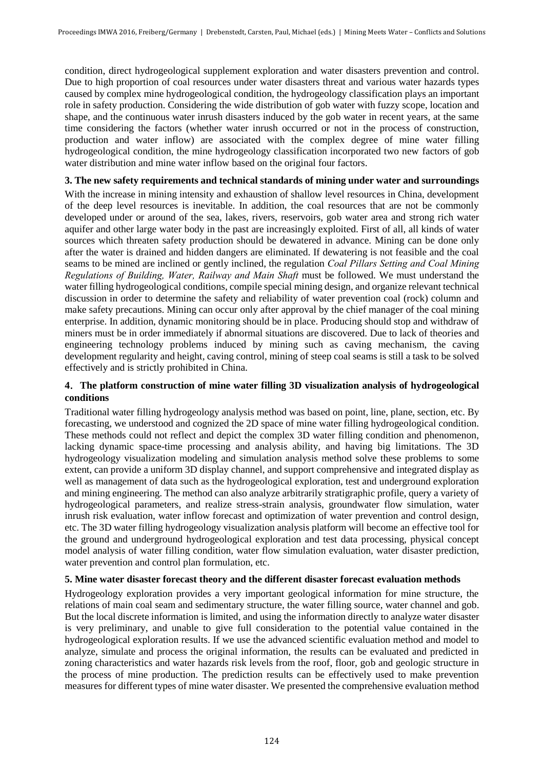condition, direct hydrogeological supplement exploration and water disasters prevention and control. Due to high proportion of coal resources under water disasters threat and various water hazards types caused by complex mine hydrogeological condition, the hydrogeology classification plays an important role in safety production. Considering the wide distribution of gob water with fuzzy scope, location and shape, and the continuous water inrush disasters induced by the gob water in recent years, at the same time considering the factors (whether water inrush occurred or not in the process of construction, production and water inflow) are associated with the complex degree of mine water filling hydrogeological condition, the mine hydrogeology classification incorporated two new factors of gob water distribution and mine water inflow based on the original four factors.

# **3. The new safety requirements and technical standards of mining under water and surroundings**

With the increase in mining intensity and exhaustion of shallow level resources in China, development of the deep level resources is inevitable. In addition, the coal resources that are not be commonly developed under or around of the sea, lakes, rivers, reservoirs, gob water area and strong rich water aquifer and other large water body in the past are increasingly exploited. First of all, all kinds of water sources which threaten safety production should be dewatered in advance. Mining can be done only after the water is drained and hidden dangers are eliminated. If dewatering is not feasible and the coal seams to be mined are inclined or gently inclined, the regulation *Coal Pillars Setting and Coal Mining Regulations of Building, Water, Railway and Main Shaft* must be followed. We must understand the water filling hydrogeological conditions, compile special mining design, and organize relevant technical discussion in order to determine the safety and reliability of water prevention coal (rock) column and make safety precautions. Mining can occur only after approval by the chief manager of the coal mining enterprise. In addition, dynamic monitoring should be in place. Producing should stop and withdraw of miners must be in order immediately if abnormal situations are discovered. Due to lack of theories and engineering technology problems induced by mining such as caving mechanism, the caving development regularity and height, caving control, mining of steep coal seams is still a task to be solved effectively and is strictly prohibited in China.

# **4**.**The platform construction of mine water filling 3D visualization analysis of hydrogeological conditions**

Traditional water filling hydrogeology analysis method was based on point, line, plane, section, etc. By forecasting, we understood and cognized the 2D space of mine water filling hydrogeological condition. These methods could not reflect and depict the complex 3D water filling condition and phenomenon, lacking dynamic space-time processing and analysis ability, and having big limitations. The 3D hydrogeology visualization modeling and simulation analysis method solve these problems to some extent, can provide a uniform 3D display channel, and support comprehensive and integrated display as well as management of data such as the hydrogeological exploration, test and underground exploration and mining engineering. The method can also analyze arbitrarily stratigraphic profile, query a variety of hydrogeological parameters, and realize stress-strain analysis, groundwater flow simulation, water inrush risk evaluation, water inflow forecast and optimization of water prevention and control design, etc. The 3D water filling hydrogeology visualization analysis platform will become an effective tool for the ground and underground hydrogeological exploration and test data processing, physical concept model analysis of water filling condition, water flow simulation evaluation, water disaster prediction, water prevention and control plan formulation, etc.

# **5. Mine water disaster forecast theory and the different disaster forecast evaluation methods**

Hydrogeology exploration provides a very important geological information for mine structure, the relations of main coal seam and sedimentary structure, the water filling source, water channel and gob. But the local discrete information is limited, and using the information directly to analyze water disaster is very preliminary, and unable to give full consideration to the potential value contained in the hydrogeological exploration results. If we use the advanced scientific evaluation method and model to analyze, simulate and process the original information, the results can be evaluated and predicted in zoning characteristics and water hazards risk levels from the roof, floor, gob and geologic structure in the process of mine production. The prediction results can be effectively used to make prevention measures for different types of mine water disaster. We presented the comprehensive evaluation method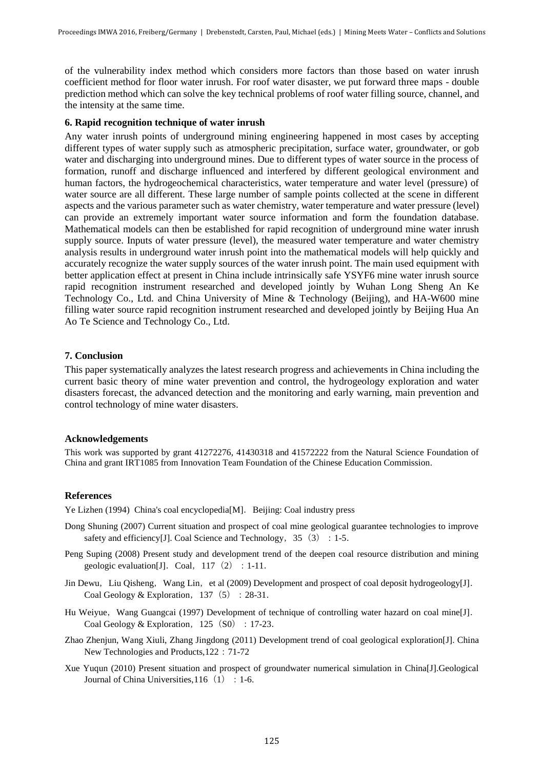of the vulnerability index method which considers more factors than those based on water inrush coefficient method for floor water inrush. For roof water disaster, we put forward three maps - double prediction method which can solve the key technical problems of roof water filling source, channel, and the intensity at the same time.

### **6. Rapid recognition technique of water inrush**

Any water inrush points of underground mining engineering happened in most cases by accepting different types of water supply such as atmospheric precipitation, surface water, groundwater, or gob water and discharging into underground mines. Due to different types of water source in the process of formation, runoff and discharge influenced and interfered by different geological environment and human factors, the hydrogeochemical characteristics, water temperature and water level (pressure) of water source are all different. These large number of sample points collected at the scene in different aspects and the various parameter such as water chemistry, water temperature and water pressure (level) can provide an extremely important water source information and form the foundation database. Mathematical models can then be established for rapid recognition of underground mine water inrush supply source. Inputs of water pressure (level), the measured water temperature and water chemistry analysis results in underground water inrush point into the mathematical models will help quickly and accurately recognize the water supply sources of the water inrush point. The main used equipment with better application effect at present in China include intrinsically safe YSYF6 mine water inrush source rapid recognition instrument researched and developed jointly by Wuhan Long Sheng An Ke Technology Co., Ltd. and China University of Mine & Technology (Beijing), and HA-W600 mine filling water source rapid recognition instrument researched and developed jointly by Beijing Hua An Ao Te Science and Technology Co., Ltd.

### **7. Conclusion**

This paper systematically analyzes the latest research progress and achievements in China including the current basic theory of mine water prevention and control, the hydrogeology exploration and water disasters forecast, the advanced detection and the monitoring and early warning, main prevention and control technology of mine water disasters.

### **Acknowledgements**

This work was supported by grant 41272276, 41430318 and 41572222 from the Natural Science Foundation of China and grant IRT1085 from Innovation Team Foundation of the Chinese Education Commission.

#### **References**

Ye Lizhen (1994) China's coal encyclopedia[M]. Beijing: Coal industry press

- Dong Shuning (2007) Current situation and prospect of coal mine geological guarantee technologies to improve safety and efficiency [J]. Coal Science and Technology,  $35(3):1-5$ .
- Peng Suping (2008) Present study and development trend of the deepen coal resource distribution and mining geologic evaluation [J]. Coal,  $117(2):1-11$ .
- Jin Dewu, Liu Qisheng, Wang Lin, et al (2009) Development and prospect of coal deposit hydrogeology[J]. Coal Geology & Exploration,  $137(5):28-31$ .
- Hu Weiyue, Wang Guangcai (1997) Development of technique of controlling water hazard on coal mine[J]. Coal Geology & Exploration,  $125(S0):17-23$ .
- Zhao Zhenjun, Wang Xiuli, Zhang Jingdong (2011) Development trend of coal geological exploration[J]. China New Technologies and Products,122:71-72
- Xue Yuqun (2010) Present situation and prospect of groundwater numerical simulation in China[J].Geological Journal of China Universities,  $116(1):1-6$ .